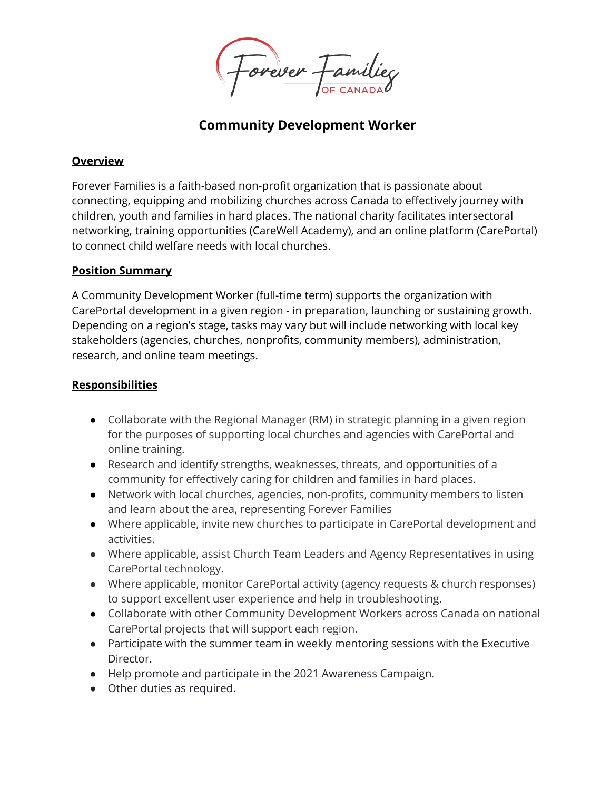ovever 7

# **Community Development Worker**

#### **Overview**

Forever Families is a faith-based non-profit organization that is passionate about connecting, equipping and mobilizing churches across Canada to effectively journey with children, youth and families in hard places. The national charity facilitates intersectoral networking, training opportunities (CareWell Academy), and an online platform (CarePortal) to connect child welfare needs with local churches.

#### **Position Summary**

A Community Development Worker (full-time term) supports the organization with CarePortal development in a given region - in preparation, launching or sustaining growth. Depending on a region's stage, tasks may vary but will include networking with local key stakeholders (agencies, churches, nonprofits, community members), administration, research, and online team meetings.

### **Responsibilities**

- Collaborate with the Regional Manager (RM) in strategic planning in a given region for the purposes of supporting local churches and agencies with CarePortal and online training.
- Research and identify strengths, weaknesses, threats, and opportunities of a community for effectively caring for children and families in hard places.
- Network with local churches, agencies, non-profits, community members to listen and learn about the area, representing Forever Families
- Where applicable, invite new churches to participate in CarePortal development and activities.
- Where applicable, assist Church Team Leaders and Agency Representatives in using CarePortal technology.
- Where applicable, monitor CarePortal activity (agency requests & church responses) to support excellent user experience and help in troubleshooting.
- Collaborate with other Community Development Workers across Canada on national CarePortal projects that will support each region.
- Participate with the summer team in weekly mentoring sessions with the Executive Director.
- Help promote and participate in the 2021 Awareness Campaign.
- Other duties as required.